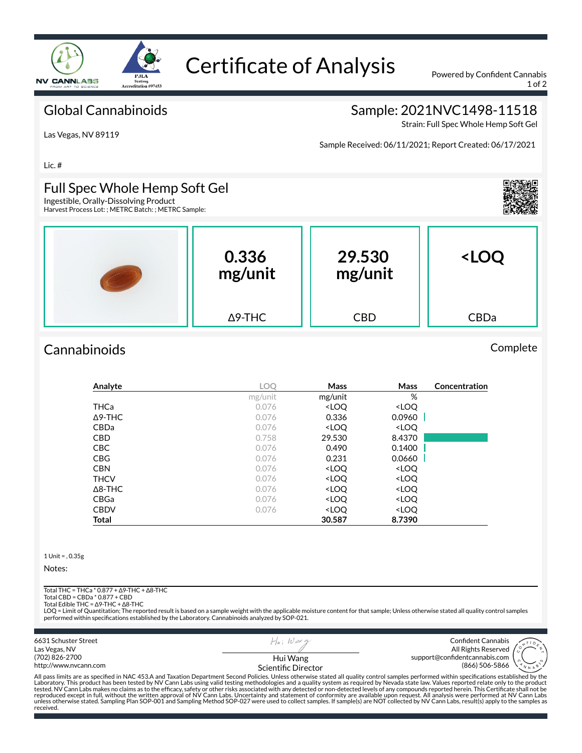

# Certificate of Analysis Powered by Confident Cannabis

1 of 2

#### Global Cannabinoids

### Sample: 2021NVC1498-11518

Strain: Full Spec Whole Hemp Soft Gel

Las Vegas, NV 89119

Sample Received: 06/11/2021; Report Created: 06/17/2021

Lic. #

#### Full Spec Whole Hemp Soft Gel

Ingestible, Orally-Dissolving Product Harvest Process Lot: ; METRC Batch: ; METRC Sample:

| <b>PERSONAL PROPERTY</b> | 0.336<br>mg/unit | 29.530<br>mg/unit | <loq< th=""></loq<> |
|--------------------------|------------------|-------------------|---------------------|
|                          | $\Delta$ 9-THC   | <b>CBD</b>        | CBDa                |

## Cannabinoids Complete

| Analyte        | <b>LOO</b> | Mass                                                     | Mass                         | Concentration |
|----------------|------------|----------------------------------------------------------|------------------------------|---------------|
|                | mg/unit    | mg/unit                                                  | %                            |               |
| THCa           | 0.076      | <loq< th=""><th><loq< th=""><th></th></loq<></th></loq<> | <loq< th=""><th></th></loq<> |               |
| $\Delta$ 9-THC | 0.076      | 0.336                                                    | 0.0960                       |               |
| CBDa           | 0.076      | <loq< th=""><th><loq< th=""><th></th></loq<></th></loq<> | <loq< th=""><th></th></loq<> |               |
| <b>CBD</b>     | 0.758      | 29.530                                                   | 8.4370                       |               |
| <b>CBC</b>     | 0.076      | 0.490                                                    | 0.1400                       |               |
| <b>CBG</b>     | 0.076      | 0.231                                                    | 0.0660                       |               |
| <b>CBN</b>     | 0.076      | <loq< th=""><th><loq< th=""><th></th></loq<></th></loq<> | <loq< th=""><th></th></loq<> |               |
| <b>THCV</b>    | 0.076      | <loq< th=""><th><loq< th=""><th></th></loq<></th></loq<> | <loq< th=""><th></th></loq<> |               |
| $\Delta$ 8-THC | 0.076      | <loq< th=""><th><loq< th=""><th></th></loq<></th></loq<> | <loq< th=""><th></th></loq<> |               |
| <b>CBGa</b>    | 0.076      | <loq< th=""><th><loq< th=""><th></th></loq<></th></loq<> | <loq< th=""><th></th></loq<> |               |
| <b>CBDV</b>    | 0.076      | <loq< th=""><th><loq< th=""><th></th></loq<></th></loq<> | <loq< th=""><th></th></loq<> |               |
| Total          |            | 30.587                                                   | 8.7390                       |               |

1 Unit = , 0.35g

Notes:

received.

Total THC = THCa \* 0.877 + ∆9-THC + ∆8-THC

Total CBD = CBDa \* 0.877 + CBD Total Edible THC = ∆9-THC + ∆8-THC

LOQ = Limit of Quantitation; The reported result is based on a sample weight with the applicable moisture content for that sample; Unless otherwise stated all quality control samples<br>performed within specifications establi

6631 Schuster Street  $H|_n$ ; Wax Confident Cannabis Las Vegas, NV All Rights Reserved (702) 826-2700 Hui Wang support@confidentcannabis.com (866) 506-5866 http://www.nvcann.com Scientific Director All pass limits are as specified in NAC 453.A and Taxation Department Second Policies. Unless otherwise stated all quality control samples performed within specifications established by the<br>Laboratory. This product has bee tested. NV Cann Labs makes no claims as to the efficacy, safety or other risks associated with any detected or non-detected levels of any compounds reported herein. This Certificate shall not be<br>reproduced except in full,